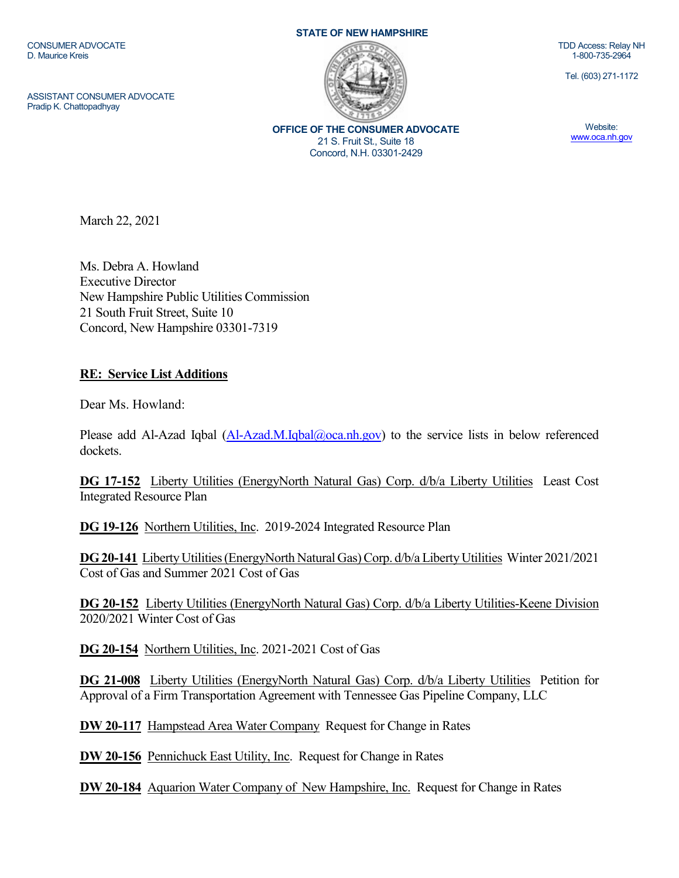CONSUMER ADVOCATE D. Maurice Kreis

ASSISTANT CONSUMER ADVOCATE Pradip K. Chattopadhyay

**STATE OF NEW HAMPSHIRE**



**OFFICE OF THE CONSUMER ADVOCATE** 21 S. Fruit St., Suite 18 Concord, N.H. 03301-2429

TDD Access: Relay NH 1-800-735-2964

Tel. (603) 271-1172

Website: [www.oca.nh.gov](http://www.oca.nh.gov/)

March 22, 2021

Ms. Debra A. Howland Executive Director New Hampshire Public Utilities Commission 21 South Fruit Street, Suite 10 Concord, New Hampshire 03301-7319

## **RE: Service List Additions**

Dear Ms. Howland:

Please add Al-Azad Iqbal [\(Al-Azad.M.Iqbal@oca.nh.gov\)](mailto:Al-Azad.M.Iqbal@oca.nh.gov) to the service lists in below referenced dockets.

**DG 17-152** Liberty Utilities (EnergyNorth Natural Gas) Corp. d/b/a Liberty Utilities Least Cost Integrated Resource Plan

**DG 19-126** Northern Utilities, Inc. 2019-2024 Integrated Resource Plan

**DG 20-141** Liberty Utilities (EnergyNorth Natural Gas) Corp. d/b/a Liberty Utilities Winter 2021/2021 Cost of Gas and Summer 2021 Cost of Gas

**DG 20-152** Liberty Utilities (EnergyNorth Natural Gas) Corp. d/b/a Liberty Utilities-Keene Division 2020/2021 Winter Cost of Gas

**DG 20-154** Northern Utilities, Inc. 2021-2021 Cost of Gas

**DG 21-008** Liberty Utilities (EnergyNorth Natural Gas) Corp. d/b/a Liberty Utilities Petition for Approval of a Firm Transportation Agreement with Tennessee Gas Pipeline Company, LLC

**DW 20-117** Hampstead Area Water Company Request for Change in Rates

**DW 20-156** Pennichuck East Utility, Inc. Request for Change in Rates

**DW 20-184** Aquarion Water Company of New Hampshire, Inc. Request for Change in Rates